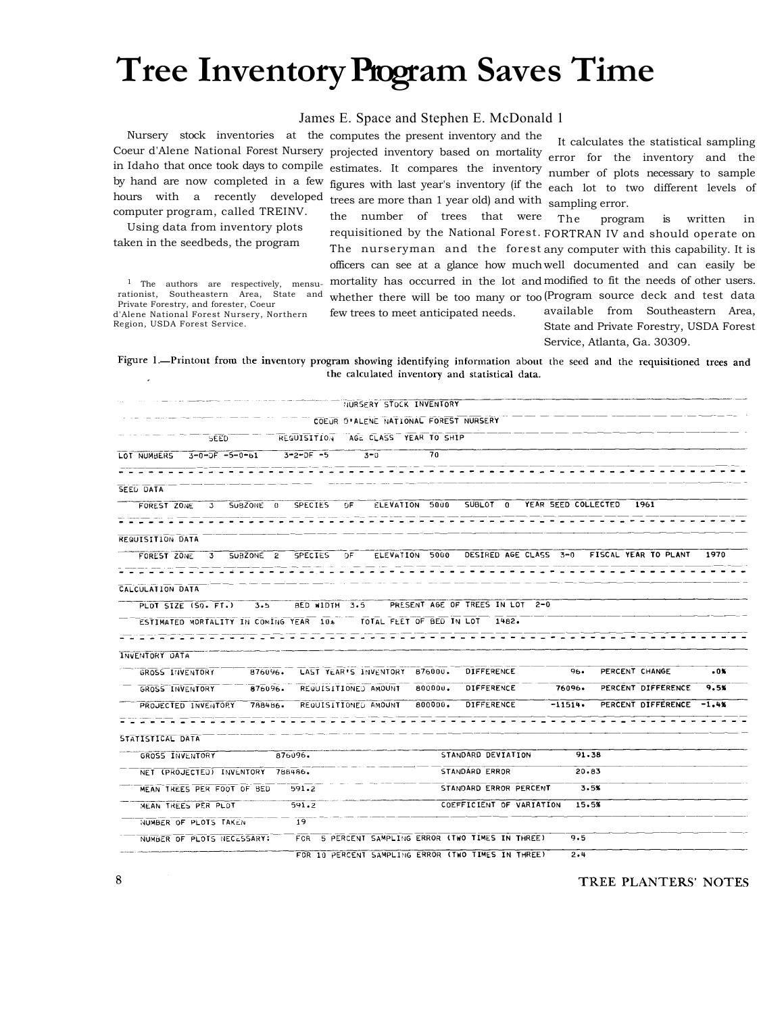## **Tree Inventory Program Saves Time**

## James E. Space and Stephen E. McDonald 1

hours with a recently developed trees are more than 1 year old) and with sampling error. computer program, called TREINV.

Using data from inventory plots taken in the seedbeds, the program

Private Forestry, and forester, Coeur d'Alene National Forest Nursery, Northern Region, USDA Forest Service.

Nursery stock inventories at the computes the present inventory and the Coeur d'Alene National Forest Nursery projected inventory based on mortality error for the inventory and the in Idaho that once took days to compile estimates. It compares the inventory number of plots necessary to sample by hand are now completed in a few figures with last year's inventory (if the each lot to two different levels of

It calculates the statistical sampling

<sup>1</sup> The authors are respectively, mensu- mortality has occurred in the lot and modified to fit the needs of other users. rationist, Southeastern Area, State and whether there will be too many or too (Program source deck and test data the number of trees that were requisitioned by the National Forest. FORTRAN IV and should operate on The nurseryman and the forest any computer with this capability. It is officers can see at a glance how much well documented and can easily be few trees to meet anticipated needs. The program is written in available from Southeastern Area, State and Private Forestry, USDA Forest

Service, Atlanta, Ga. 30309.

Figure 1.-Printout from the inventory program showing identifying information about the seed and the requisitioned trees and the calculated inventory and statistical data.

|                                                             |                           |           |                  | NURSERY STOCK INVENTORY                                               |                |                          |                     |        |                      |         |
|-------------------------------------------------------------|---------------------------|-----------|------------------|-----------------------------------------------------------------------|----------------|--------------------------|---------------------|--------|----------------------|---------|
|                                                             |                           |           |                  | COEUR D'ALENE NATIONAL FOREST NURSERY                                 |                |                          |                     |        |                      |         |
|                                                             | SEED                      |           |                  | REQUISITION AGE CLASS YEAR TO SHIP                                    |                |                          |                     |        |                      |         |
| LOT NUMBERS                                                 | $3 - 0 - 0F - 5 - 0 - 61$ |           | $3 - 2 - 0F - 5$ | $3 - 0$                                                               | 70             |                          |                     |        |                      |         |
|                                                             |                           |           |                  |                                                                       |                |                          |                     |        |                      |         |
| SEED DATA                                                   |                           |           |                  |                                                                       |                |                          |                     |        |                      |         |
| FOREST ZONE                                                 | $\mathbf{3}$              | SUBZONE 0 | SPECIES          | 0F                                                                    | ELEVATION 5000 | $SUBLOT$ $0$             | YEAR SEED COLLECTED |        | 1961                 |         |
|                                                             |                           |           |                  |                                                                       |                |                          |                     |        |                      |         |
| <b>REQUISITION DATA</b>                                     |                           |           |                  |                                                                       |                |                          |                     |        |                      |         |
| FOREST ZONE                                                 | $3^{\circ}$               | SUBZONE 2 | SPECIES          | DF.                                                                   | ELEVATION 5000 | DESIRED AGE CLASS 3-0    |                     |        | FISCAL YEAR TO PLANT | 1970    |
|                                                             |                           |           |                  |                                                                       |                |                          |                     |        |                      |         |
| CALCULATION DATA                                            |                           |           |                  |                                                                       |                |                          |                     |        |                      |         |
| PLOT SIZE (SQ. FT.)                                         |                           | 3.5       |                  | BED WIDTH 3.5 PRESENT AGE OF TREES IN LOT 2-0                         |                |                          |                     |        |                      |         |
|                                                             |                           |           |                  | ESTIMATED MORTALITY IN COMING YEAR 10% TOTAL FEET OF BED IN LOT 1482. |                |                          |                     |        |                      |         |
|                                                             |                           |           |                  |                                                                       |                |                          |                     |        |                      |         |
|                                                             |                           |           |                  |                                                                       |                |                          |                     |        |                      |         |
|                                                             |                           |           |                  |                                                                       |                |                          |                     |        |                      |         |
| GROSS INVENTORY                                             |                           | 876096.   |                  | LAST YEAR'S INVENTORY 876000.                                         |                | DIFFERENCE               |                     | $96 -$ | PERCENT CHANGE       | .0%     |
| GROSS INVENTORY                                             |                           | 876096.   |                  | REGUISITIONED AMOUNT                                                  | 800000.        | DIFFERENCE               | 76096.              |        | PERCENT DIFFERENCE   | 9.5%    |
| PROJECTED INVENTORY                                         |                           | 788486.   |                  | REQUISITIONED AMOUNT                                                  | 800000.        | DIFFERENCE               | $-11514.$           |        | PERCENT DIFFERENCE   | $-1.4%$ |
|                                                             |                           |           |                  |                                                                       |                |                          |                     |        |                      |         |
|                                                             |                           |           |                  |                                                                       |                |                          |                     |        |                      |         |
| GROSS INVENTORY                                             |                           |           | 876096.          |                                                                       |                | STANDARD DEVIATION       |                     | 91.38  |                      |         |
| NET (PROJECTED) INVENTORY                                   |                           |           | 768486.          |                                                                       |                | STANDARD ERROR           |                     | 20.83  |                      |         |
| MEAN TREES PER FOOT OF BED                                  |                           |           | 591.2            |                                                                       |                | STANDARD ERROR PERCENT   |                     | 3.5%   |                      |         |
| MEAN TREES PER PLOT                                         |                           |           | 591.2            |                                                                       |                | COEFFICIENT OF VARIATION |                     | 15.5%  |                      |         |
| INVENTORY DATA<br>STATISTICAL DATA<br>NUMBER OF PLOTS TAKEN |                           |           | -19              |                                                                       |                |                          |                     |        |                      |         |
| NUMBER OF PLOTS NECESSARY:                                  |                           |           | <b>FCR</b>       | 5 PERCENT SAMPLING ERROR (TWO TIMES IN THREE)                         |                |                          |                     | 9.5    |                      |         |

TREE PLANTERS' NOTES